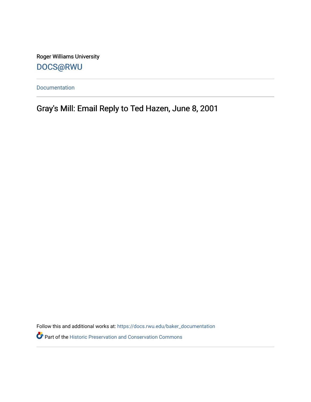Roger Williams University [DOCS@RWU](https://docs.rwu.edu/)

[Documentation](https://docs.rwu.edu/baker_documentation) 

Gray's Mill: Email Reply to Ted Hazen, June 8, 2001

Follow this and additional works at: [https://docs.rwu.edu/baker\\_documentation](https://docs.rwu.edu/baker_documentation?utm_source=docs.rwu.edu%2Fbaker_documentation%2F59&utm_medium=PDF&utm_campaign=PDFCoverPages) 

Part of the [Historic Preservation and Conservation Commons](http://network.bepress.com/hgg/discipline/781?utm_source=docs.rwu.edu%2Fbaker_documentation%2F59&utm_medium=PDF&utm_campaign=PDFCoverPages)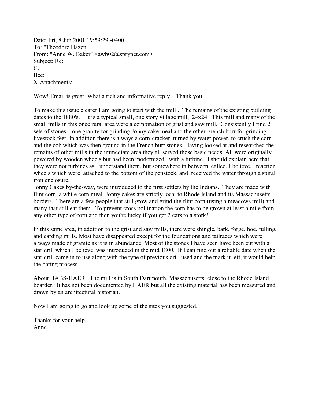Date: Fri, 8 Jun 2001 19:59:29 -0400 To: "Theodore Hazen" From: "Anne W. Baker" <awb02@sprynet.com> Subject: Re: Cc: Bcc: X-Attachments:

Wow! Email is great. What a rich and informative reply. Thank you.

To make this issue clearer I am going to start with the mill . The remains of the existing building dates to the 1880's. It is a typical small, one story village mill, 24x24. This mill and many of the small mills in this once rural area were a combination of grist and saw mill. Consistently I find 2 sets of stones – one granite for grinding Jonny cake meal and the other French burr for grinding livestock feet. In addition there is always a corn-cracker, turned by water power, to crush the corn and the cob which was then ground in the French burr stones. Having looked at and researched the remains of other mills in the immediate area they all served those basic needs. All were originally powered by wooden wheels but had been modernized, with a turbine. I should explain here that they were not turbines as I understand them, but somewhere in between called, I believe, reaction wheels which were attached to the bottom of the penstock, and received the water through a spiral iron enclosure.

Jonny Cakes by-the-way, were introduced to the first settlers by the Indians. They are made with flint corn, a while corn meal. Jonny cakes are strictly local to Rhode Island and its Massachusetts borders. There are a few people that still grow and grind the flint corn (using a meadows mill) and many that still eat them. To prevent cross pollination the corn has to be grown at least a mile from any other type of corn and then you're lucky if you get 2 ears to a stork!

In this same area, in addition to the grist and saw mills, there were shingle, bark, forge, hoe, fulling, and carding mills. Most have disappeared except for the foundations and tailraces which were always made of granite as it is in abundance. Most of the stones I have seen have been cut with a star drill which I believe was introduced in the mid 1800. If I can find out a reliable date when the star drill came in to use along with the type of previous drill used and the mark it left, it would help the dating process.

About HABS-HAER. The mill is in South Dartmouth, Massachusetts, close to the Rhode Island boarder. It has not been documented by HAER but all the existing material has been measured and drawn by an architectural historian.

Now I am going to go and look up some of the sites you suggested.

Thanks for your help. Anne